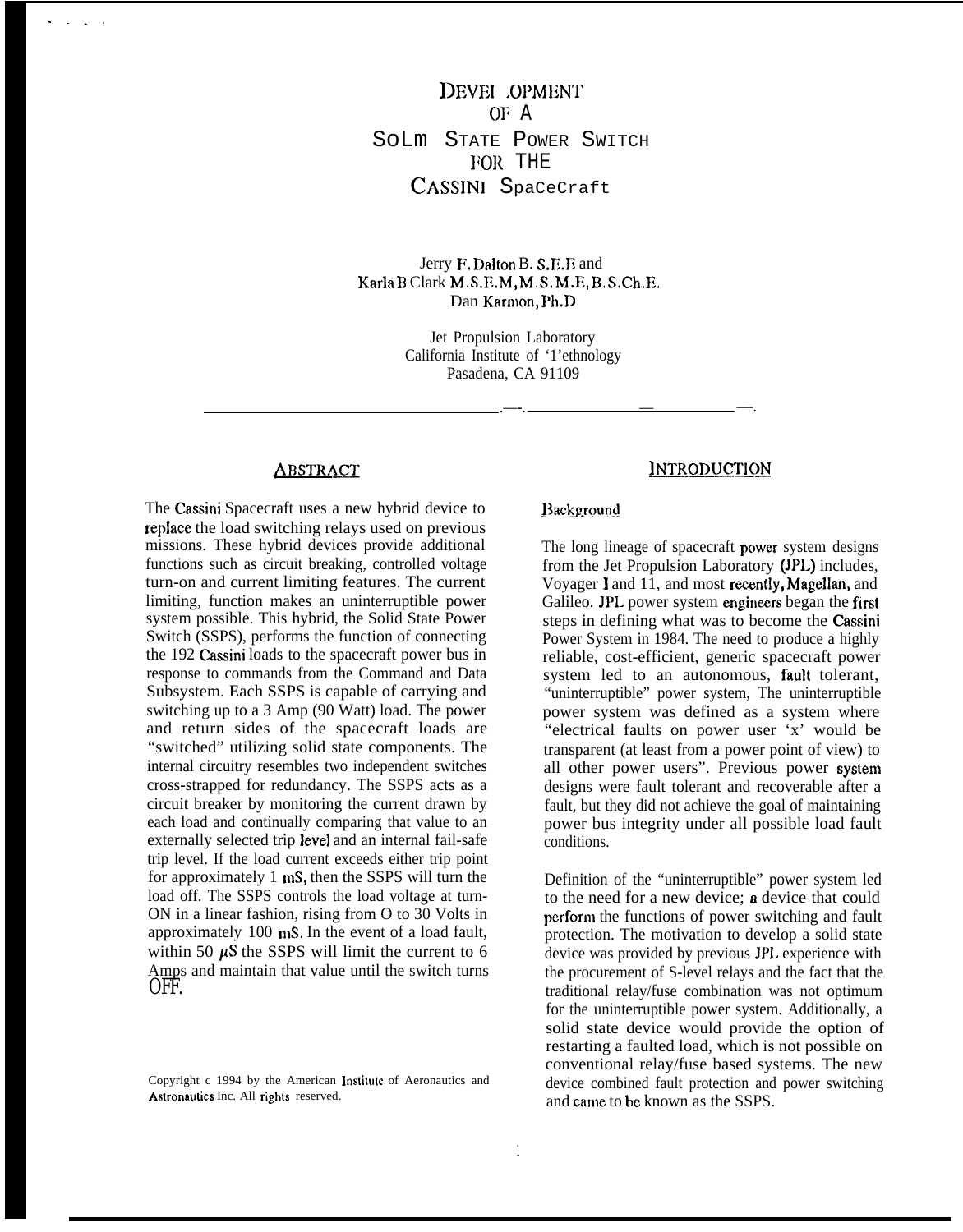DEVEL OPMENT OF A SoLm STATE POWER SWITCH FOR THE CASSINI SpaCeCraft

Jerry F. Dalton B. S.E.E and  $Karla B Clark M.S.E.M, M.S.M.E.B.S.Ch.E.$ Dan Karmon, Ph.D

> Jet Propulsion Laboratory California Institute of '1'ethnology Pasadena, CA 91109

## **ABSTRACT**

. . . .

The Cassini Spacecraft uses a new hybrid device to repIace the load switching relays used on previous missions. These hybrid devices provide additional functions such as circuit breaking, controlled voltage turn-on and current limiting features. The current limiting, function makes an uninterruptible power system possible. This hybrid, the Solid State Power Switch (SSPS), performs the function of connecting the 192 Cassini loads to the spacecraft power bus in response to commands from the Command and Data Subsystem. Each SSPS is capable of carrying and switching up to a 3 Amp (90 Watt) load. The power and return sides of the spacecraft loads are "switched" utilizing solid state components. The internal circuitry resembles two independent switches cross-strapped for redundancy. The SSPS acts as a circuit breaker by monitoring the current drawn by each load and continually comparing that value to an externally selected trip level and an internal fail-safe trip level. If the load current exceeds either trip point for approximately  $1 \text{ mS}$ , then the SSPS will turn the load off. The SSPS controls the load voltage at turn-ON in a linear fashion, rising from O to 30 Volts in approximately  $100$  mS. In the event of a load fault, within 50  $\mu$ S the SSPS will limit the current to 6 Amps and maintain that value until the switch turns OFF.

Copyright c 1994 by the American Institute of Aeronautics and Astronautics Inc. All rights reserved.

#### **INTRODUCTION**

### Background

.—-. — —.

The long lineage of spacecraft power system designs from the Jet Propulsion Laboratory (JPL) includes, Voyager I and  $11$ , and most recently, Magellan, and Galileo. JPL power system engineers began the first steps in defining what was to become the Cassini Power System in 1984. The need to produce a highly reliable, cost-efficient, generic spacecraft power system led to an autonomous, fault tolerant, "uninterruptible" power system, The uninterruptible power system was defined as a system where "electrical faults on power user 'x' would be transparent (at least from a power point of view) to all other power users". Previous power syslem designs were fault tolerant and recoverable after a fault, but they did not achieve the goal of maintaining power bus integrity under all possible load fault conditions.

Definition of the "uninterruptible" power system led to the need for a new device; a device that could perform the functions of power switching and fault protection. The motivation to develop a solid state device was provided by previous JPL experience with the procurement of S-level relays and the fact that the traditional relay/fuse combination was not optimum for the uninterruptible power system. Additionally, a solid state device would provide the option of restarting a faulted load, which is not possible on conventional relay/fuse based systems. The new device combined fault protection and power switching and came to be known as the SSPS.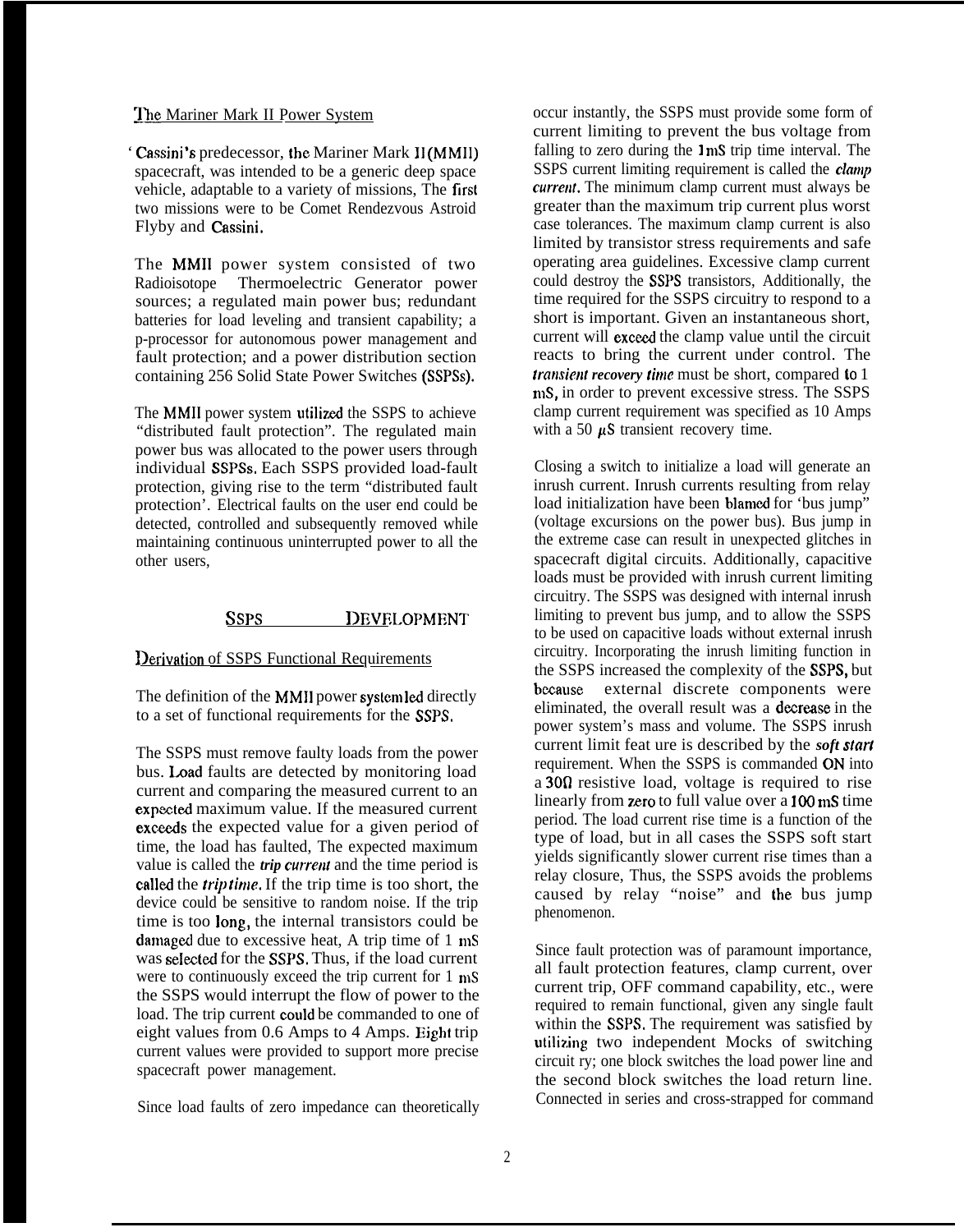### The Mariner Mark II Power System

' Cassini's predecessor, the Mariner Mark 11 (MMII) spacecraft, was intended to be a generic deep space vehicle, adaptable to a variety of missions, The first two missions were to be Comet Rendezvous Astroid Flyby and Cassini,

The MMII power system consisted of two Radioisotope Thermoelectric Generator power sources; a regulated main power bus; redundant batteries for load leveling and transient capability; a p-processor for autonomous power management and fault protection; and a power distribution section containing 256 Solid State Power Switches (SSPSS).

The MMII power system utilized the SSPS to achieve "distributed fault protection". The regulated main power bus was allocated to the power users through individual SSPSs, Each SSPS provided load-fault protection, giving rise to the term "distributed fault protection'. Electrical faults on the user end could be detected, controlled and subsequently removed while maintaining continuous uninterrupted power to all the other users,

# SSPS DEVELOPMENT

### Derivation of SSPS Functional Requirements

The definition of the MMI1 power system led directly to a set of functional requirements for the SSPS,

The SSPS must remove faulty loads from the power bus. Load faults are detected by monitoring load current and comparing the measured current to an exposted maximum value. If the measured current exceeds the expected value for a given period of time, the load has faulted, The expected maximum value is called the *trip current* and the time period is called the *trip time*. If the trip time is too short, the device could be sensitive to random noise. If the trip time is too long, the internal transistors could be damaged due to excessive heat, A trip time of 1 mS was selected for the SSPS. Thus, if the load current were to continuously exceed the trip current for 1 mS the SSPS would interrupt the flow of power to the load. The trip current could be commanded to one of eight values from 0.6 Amps to 4 Amps. Eight trip current values were provided to support more precise spacecraft power management.

Since load faults of zero impedance can theoretically

occur instantly, the SSPS must provide some form of current limiting to prevent the bus voltage from falling to zero during the  $1 \text{ mS}$  trip time interval. The SSPS current limiting requirement is called the *clamp current*. The minimum clamp current must always be greater than the maximum trip current plus worst case tolerances. The maximum clamp current is also limited by transistor stress requirements and safe operating area guidelines. Excessive clamp current could destroy the SSPS transistors, Additionally, the time required for the SSPS circuitry to respond to a short is important. Given an instantaneous short, current will exceed the clamp value until the circuit reacts to bring the current under control. The *transient recovery time* must be short, compared to 1 mS, in order to prevent excessive stress. The SSPS clamp current requirement was specified as 10 Amps with a 50  $\mu$ S transient recovery time.

Closing a switch to initialize a load will generate an inrush current. Inrush currents resulting from relay load initialization have been blamed for 'bus jump" (voltage excursions on the power bus). Bus jump in the extreme case can result in unexpected glitches in spacecraft digital circuits. Additionally, capacitive loads must be provided with inrush current limiting circuitry. The SSPS was designed with internal inrush limiting to prevent bus jump, and to allow the SSPS to be used on capacitive loads without external inrush circuitry. Incorporating the inrush limiting function in the SSPS increased the complexity of the SSPS, but because external discrete components were eliminated, the overall result was a decrease in the power system's mass and volume. The SSPS inrush current limit feat ure is described by the *soft start* requirement. When the SSPS is commanded ON into a 300 resistive load, voltage is required to rise linearly from zero to full value over a 100 mS time period. The load current rise time is a function of the type of load, but in all cases the SSPS soft start yields significantly slower current rise times than a relay closure, Thus, the SSPS avoids the problems caused by relay "noise" and the bus jump phenomenon.

Since fault protection was of paramount importance, all fault protection features, clamp current, over current trip, OFF command capability, etc., were required to remain functional, given any single fault within the SSPS. The requirement was satisfied by utilizing two independent Mocks of switching circuit ry; one block switches the load power line and the second block switches the load return line. Connected in series and cross-strapped for command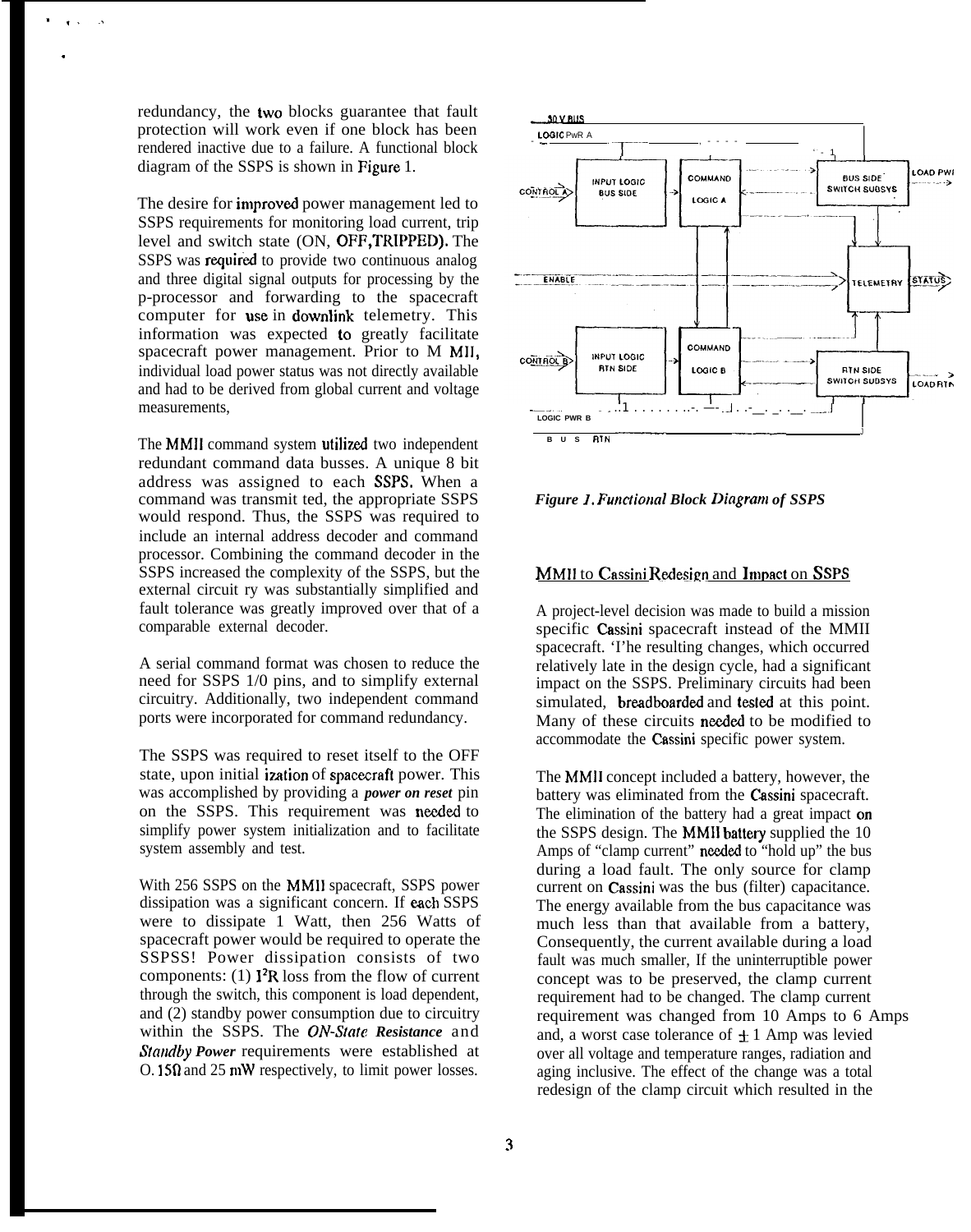redundancy, the two blocks guarantee that fault protection will work even if one block has been rendered inactive due to a failure. A functional block diagram of the SSPS is shown in Figure 1.

. ,,..

.

The desire for improved power management led to SSPS requirements for monitoring load current, trip level and switch state (ON, OFF,TRWPED). The SSPS was required to provide two continuous analog and three digital signal outputs for processing by the p-processor and forwarding to the spacecraft computer for use in downlink telemetry. This information was expected to greatly facilitate spacecraft power management. Prior to M MIJ, individual load power status was not directly available and had to be derived from global current and voltage measurements,

The MMII command system utilized two independent redundant command data busses. A unique 8 bit address was assigned to each SSPS, When a command was transmit ted, the appropriate SSPS would respond. Thus, the SSPS was required to include an internal address decoder and command processor. Combining the command decoder in the SSPS increased the complexity of the SSPS, but the external circuit ry was substantially simplified and fault tolerance was greatly improved over that of a comparable external decoder.

A serial command format was chosen to reduce the need for SSPS 1/0 pins, and to simplify external circuitry. Additionally, two independent command ports were incorporated for command redundancy.

The SSPS was required to reset itself to the OFF state, upon initial ization of spacecraft power. This was accomplished by providing a *power on reset* pin on the SSPS. This requirement was needed to simplify power system initialization and to facilitate system assembly and test.

With 256 SSPS on the MMII spacecraft, SSPS power dissipation was a significant concern. If each SSPS were to dissipate 1 Watt, then 256 Watts of spacecraft power would be required to operate the SSPSS! Power dissipation consists of two components: (1)  $\mathbf{I}^2$ R loss from the flow of current through the switch, this component is load dependent, and (2) standby power consumption due to circuitry within the SSPS. The ON-State Resistance and *Standby Power* requirements were established at O. 15fl and 25 mW respectively, to limit power losses.



**Figure 1. Functional Block Diagram of SSPS** 

## MMII to Cassini Redesign and Impact on SSPS

A project-level decision was made to build a mission specific Cassini spacecraft instead of the MMII spacecraft. 'I'he resulting changes, which occurred relatively late in the design cycle, had a significant impact on the SSPS. Preliminary circuits had been simulated, breadboarded and tested at this point. Many of these circuits needed to be modified to accommodate the Cassini specific power system.

The MMII concept included a battery, however, the battery was eliminated from the Cassini spacecraft. The elimination of the battery had a great impact on the SSPS design. The MMII battery supplied the  $10$ Amps of "clamp current" needed to "hold up" the bus during a load fault. The only source for clamp current on Cassini was the bus (filter) capacitance. The energy available from the bus capacitance was much less than that available from a battery, Consequently, the current available during a load fault was much smaller, If the uninterruptible power concept was to be preserved, the clamp current requirement had to be changed. The clamp current requirement was changed from 10 Amps to 6 Amps and, a worst case tolerance of  $\pm 1$  Amp was levied over all voltage and temperature ranges, radiation and aging inclusive. The effect of the change was a total redesign of the clamp circuit which resulted in the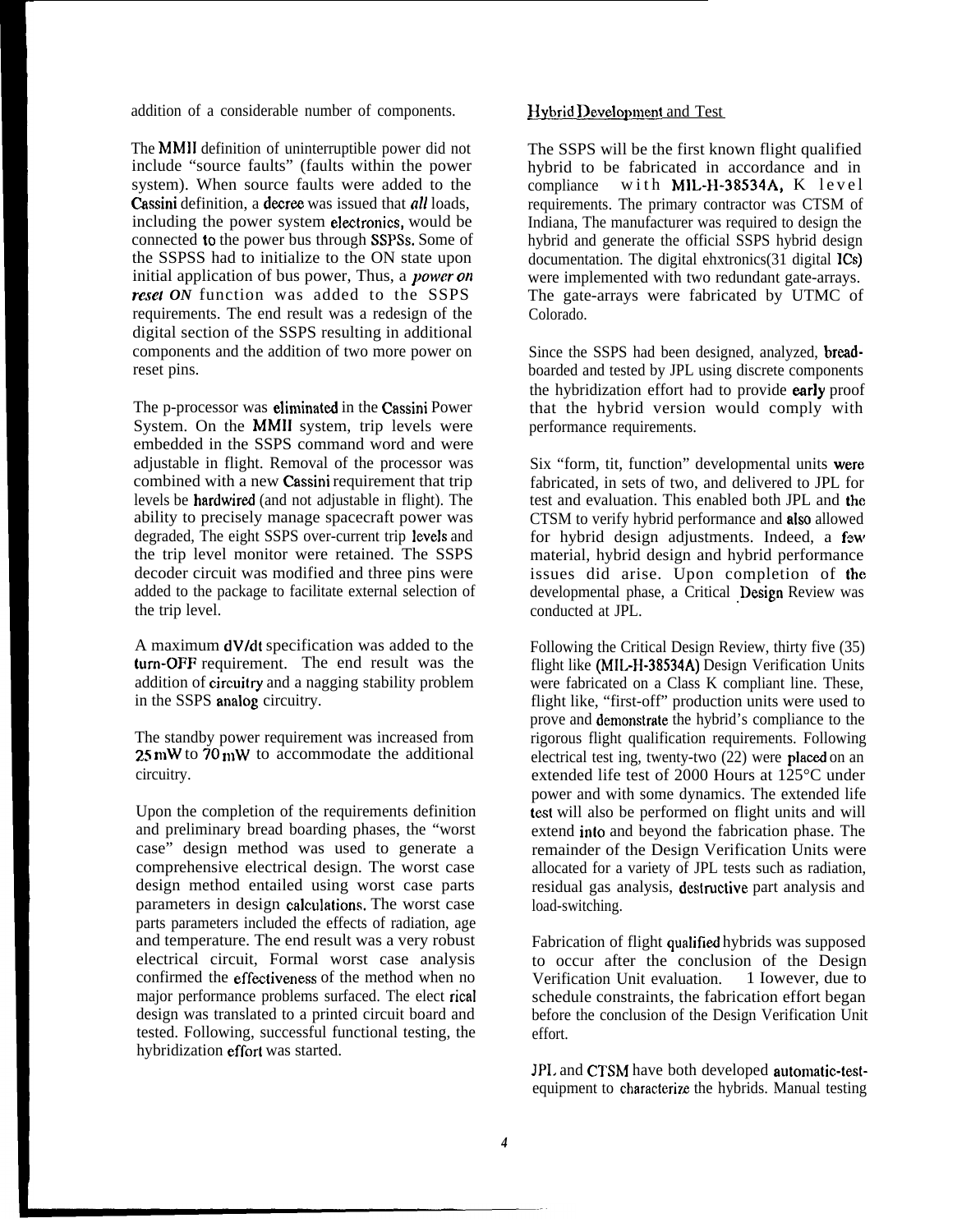addition of a considerable number of components.

The MMII definition of uninterruptible power did not include "source faults" (faults within the power system). When source faults were added to the Cassini definition, a decree was issued that *all* loads, including the power system electronics, would be connected to the power bus through SSPSS. Some of the SSPSS had to initialize to the ON state upon initial application of bus power, Thus, a *power on reset ON* function was added to the SSPS requirements. The end result was a redesign of the digital section of the SSPS resulting in additional components and the addition of two more power on reset pins.

The p-processor was eliminated in the Cassini Power System. On the MMII system, trip levels were embedded in the SSPS command word and were adjustable in flight. Removal of the processor was combined with a new Cassini requirement that trip levels be hardwired (and not adjustable in flight). The ability to precisely manage spacecraft power was degraded, The eight SSPS over-current trip levels and the trip level monitor were retained. The SSPS decoder circuit was modified and three pins were added to the package to facilitate external selection of the trip level.

A maximum dVldt specification was added to the tum-OFF requirement. The end result was the addition of circuitry and a nagging stability problem in the SSPS analog circuitry.

The standby power requirement was increased from  $25 \text{ mW}$  to  $70 \text{ mW}$  to accommodate the additional circuitry.

Upon the completion of the requirements definition and preliminary bread boarding phases, the "worst case" design method was used to generate a comprehensive electrical design. The worst case design method entailed using worst case parts parameters in design calculations. The worst case parts parameters included the effects of radiation, age and temperature. The end result was a very robust electrical circuit, Formal worst case analysis confirmed the effectiveness of the method when no major performance problems surfaced. The elect rical design was translated to a printed circuit board and tested. Following, successful functional testing, the hybridization effort was started.

### Hybrid Development and Test

The SSPS will be the first known flight qualified hybrid to be fabricated in accordance and in compliance with MIL-H-38534A, K level requirements. The primary contractor was CTSM of Indiana, The manufacturer was required to design the hybrid and generate the official SSPS hybrid design documentation. The digital ehxtronics(31 digital ICs) were implemented with two redundant gate-arrays. The gate-arrays were fabricated by UTMC of Colorado.

Since the SSPS had been designed, analyzed, breadboarded and tested by JPL using discrete components the hybridization effort had to provide early proof that the hybrid version would comply with performance requirements.

Six "form, tit, function" developmental units were fabricated, in sets of two, and delivered to JPL for test and evaluation. This enabled both JPL and the CTSM to verify hybrid performance and aIso allowed for hybrid design adjustments. Indeed, a few material, hybrid design and hybrid performance issues did arise. Upon completion of the developmental phase, a Critical Design Review was conducted at JPL.

Following the Critical Design Review, thirty five (35) flight like (MIL-H-38534A) Design Verification Units were fabricated on a Class K compliant line. These, flight like, "first-off" production units were used to prove and demonstrate the hybrid's compliance to the rigorous flight qualification requirements. Following electrical test ing, twenty-two  $(22)$  were placed on an extended life test of 2000 Hours at 125°C under power and with some dynamics. The extended life test will also be performed on flight units and will extend into and beyond the fabrication phase. The remainder of the Design Verification Units were allocated for a variety of JPL tests such as radiation, residual gas analysis, destructive part analysis and load-switching.

Fabrication of flight qualified hybrids was supposed to occur after the conclusion of the Design<br>Verification Unit evaluation. 1 Iowever, due to Verification Unit evaluation. schedule constraints, the fabrication effort began before the conclusion of the Design Verification Unit effort.

JPL and CTSM have both developed automatic-testequipment to characterize the hybrids. Manual testing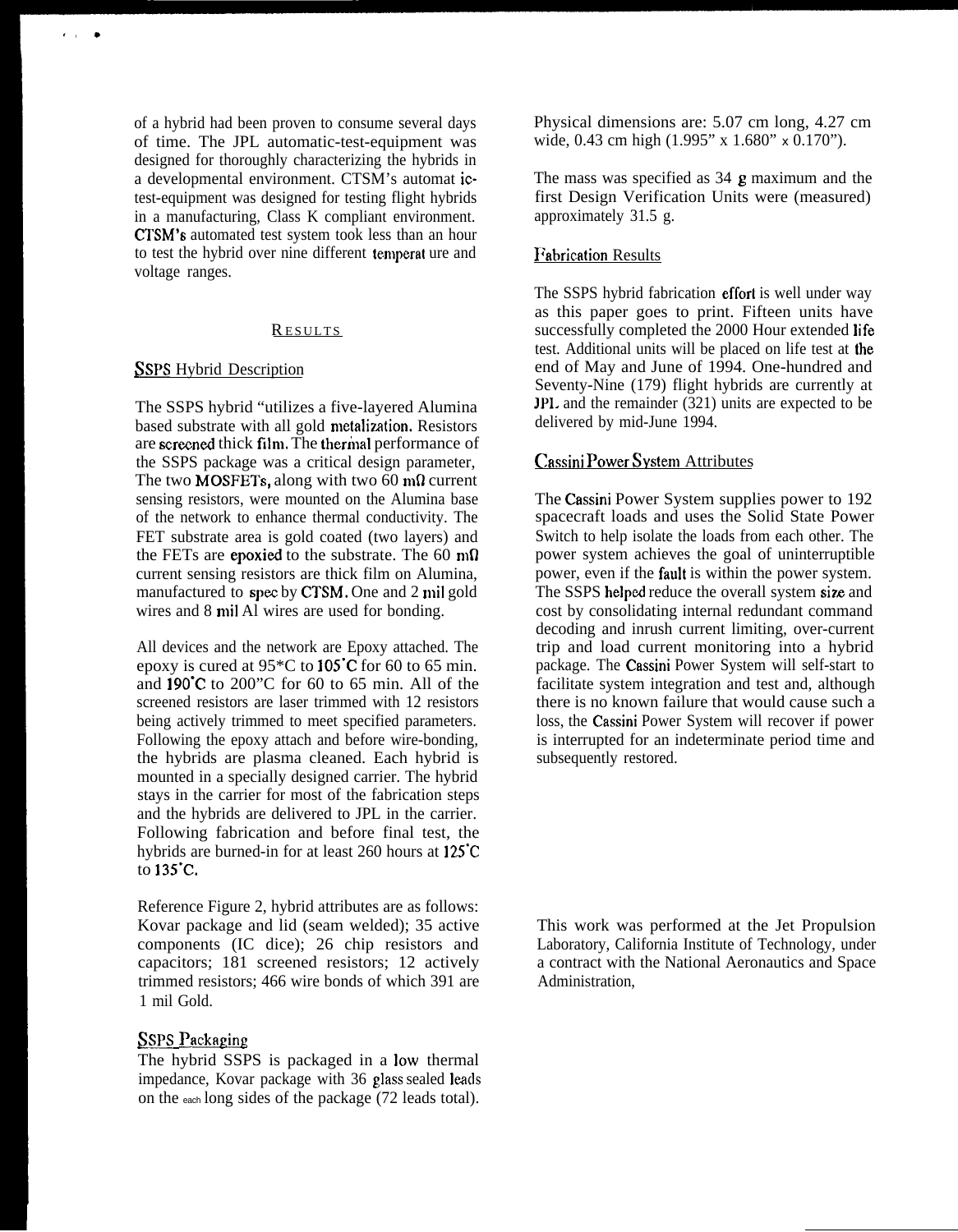of a hybrid had been proven to consume several days of time. The JPL automatic-test-equipment was designed for thoroughly characterizing the hybrids in a developmental environment. CTSM's automat ictest-equipment was designed for testing flight hybrids in a manufacturing, Class K compliant environment. CTSM'S automated test system took less than an hour to test the hybrid over nine different temperat ure and voltage ranges.

## **RESULTS**

#### **SSPS** Hybrid Description

**I,\***

The SSPS hybrid "utilizes a five-layered Alumina based substrate with all gold metalization. Resistors are screened thick film. The thermal performance of the SSPS package was a critical design parameter, The two MOSFETs, along with two 60 m $\Omega$  current sensing resistors, were mounted on the Alumina base of the network to enhance thermal conductivity. The FET substrate area is gold coated (two layers) and the FETs are epoxied to the substrate. The 60  $m\Omega$ current sensing resistors are thick film on Alumina, manufactured to spec by CTSM. One and 2 mil gold wires and 8 mil Al wires are used for bonding.

All devices and the network are Epoxy attached. The epoxy is cured at 95\*C to I05°C for 60 to 65 min. and 190"C to 200"C for 60 to 65 min. All of the screened resistors are laser trimmed with 12 resistors being actively trimmed to meet specified parameters. Following the epoxy attach and before wire-bonding, the hybrids are plasma cleaned. Each hybrid is mounted in a specially designed carrier. The hybrid stays in the carrier for most of the fabrication steps and the hybrids are delivered to JPL in the carrier. Following fabrication and before final test, the hybrids are burned-in for at least 260 hours at 125<sup>°</sup>C to 135"C.

Reference Figure 2, hybrid attributes are as follows: Kovar package and lid (seam welded); 35 active components (IC dice); 26 chip resistors and capacitors; 181 screened resistors; 12 actively trimmed resistors; 466 wire bonds of which 391 are 1 mil Gold.

## **SSPS Packaging**

The hybrid SSPS is packaged in a low thermal impedance, Kovar package with 36 glass sealed leads on the each long sides of the package (72 leads total). Physical dimensions are: 5.07 cm long, 4.27 cm wide, 0.43 cm high (1.995" x 1.680" x 0.170").

The mass was specified as 34 g maximum and the first Design Verification Units were (measured) approximately 31.5 g.

#### **Fabrication Results**

The SSPS hybrid fabrication effort is well under way as this paper goes to print. Fifteen units have successfully completed the 2000 Hour extended life test. Additional units will be placed on life test at the end of May and June of 1994. One-hundred and Seventy-Nine (179) flight hybrids are currently at JP1. and the remainder (321) units are expected to be delivered by mid-June 1994.

## Cassini Power System Attributes

The Cassini Power System supplies power to 192 spacecraft loads and uses the Solid State Power Switch to help isolate the loads from each other. The power system achieves the goal of uninterruptible power, even if the fault is within the power system. The SSPS helped reduce the overall system size and cost by consolidating internal redundant command decoding and inrush current limiting, over-current trip and load current monitoring into a hybrid package. The Cassini Power System will self-start to facilitate system integration and test and, although there is no known failure that would cause such a loss, the Cassini Power System will recover if power is interrupted for an indeterminate period time and subsequently restored.

This work was performed at the Jet Propulsion Laboratory, California Institute of Technology, under a contract with the National Aeronautics and Space Administration,